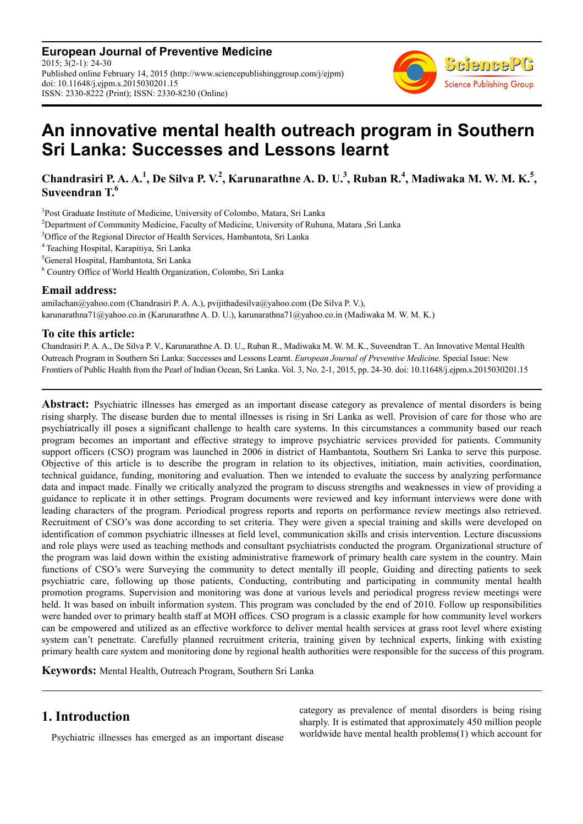**European Journal of Preventive Medicine** 2015; 3(2-1): 24-30 Published online February 14, 2015 (http://www.sciencepublishinggroup.com/j/ejpm) doi: 10.11648/j.ejpm.s.2015030201.15 ISSN: 2330-8222 (Print); ISSN: 2330-8230 (Online)



# **An innovative mental health outreach program in Southern Sri Lanka: Successes and Lessons learnt**

Chandrasiri P. A. A.<sup>1</sup>, De Silva P. V.<sup>2</sup>, Karunarathne A. D. U.<sup>3</sup>, Ruban R.<sup>4</sup>, Madiwaka M. W. M. K.<sup>5</sup>, **Suveendran T.<sup>6</sup>**

<sup>1</sup>Post Graduate Institute of Medicine, University of Colombo, Matara, Sri Lanka

<sup>2</sup>Department of Community Medicine, Faculty of Medicine, University of Ruhuna, Matara ,Sri Lanka

<sup>3</sup>Office of the Regional Director of Health Services, Hambantota, Sri Lanka

<sup>4</sup>Teaching Hospital, Karapitiya, Sri Lanka

<sup>5</sup>General Hospital, Hambantota, Sri Lanka

6 Country Office of World Health Organization, Colombo, Sri Lanka

#### **Email address:**

amilachan@yahoo.com (Chandrasiri P. A. A.), pvijithadesilva@yahoo.com (De Silva P. V.), karunarathna71@yahoo.co.in (Karunarathne A. D. U.), karunarathna71@yahoo.co.in (Madiwaka M. W. M. K.)

### **To cite this article:**

Chandrasiri P. A. A., De Silva P. V., Karunarathne A. D. U., Ruban R., Madiwaka M. W. M. K., Suveendran T.. An Innovative Mental Health Outreach Program in Southern Sri Lanka: Successes and Lessons Learnt. *European Journal of Preventive Medicine.* Special Issue: New Frontiers of Public Health from the Pearl of Indian Ocean, Sri Lanka. Vol. 3, No. 2-1, 2015, pp. 24-30. doi: 10.11648/j.ejpm.s.2015030201.15

**Abstract:** Psychiatric illnesses has emerged as an important disease category as prevalence of mental disorders is being rising sharply. The disease burden due to mental illnesses is rising in Sri Lanka as well. Provision of care for those who are psychiatrically ill poses a significant challenge to health care systems. In this circumstances a community based our reach program becomes an important and effective strategy to improve psychiatric services provided for patients. Community support officers (CSO) program was launched in 2006 in district of Hambantota, Southern Sri Lanka to serve this purpose. Objective of this article is to describe the program in relation to its objectives, initiation, main activities, coordination, technical guidance, funding, monitoring and evaluation. Then we intended to evaluate the success by analyzing performance data and impact made. Finally we critically analyzed the program to discuss strengths and weaknesses in view of providing a guidance to replicate it in other settings. Program documents were reviewed and key informant interviews were done with leading characters of the program. Periodical progress reports and reports on performance review meetings also retrieved. Recruitment of CSO's was done according to set criteria. They were given a special training and skills were developed on identification of common psychiatric illnesses at field level, communication skills and crisis intervention. Lecture discussions and role plays were used as teaching methods and consultant psychiatrists conducted the program. Organizational structure of the program was laid down within the existing administrative framework of primary health care system in the country. Main functions of CSO's were Surveying the community to detect mentally ill people, Guiding and directing patients to seek psychiatric care, following up those patients, Conducting, contributing and participating in community mental health promotion programs. Supervision and monitoring was done at various levels and periodical progress review meetings were held. It was based on inbuilt information system. This program was concluded by the end of 2010. Follow up responsibilities were handed over to primary health staff at MOH offices. CSO program is a classic example for how community level workers can be empowered and utilized as an effective workforce to deliver mental health services at grass root level where existing system can't penetrate. Carefully planned recruitment criteria, training given by technical experts, linking with existing primary health care system and monitoring done by regional health authorities were responsible for the success of this program.

**Keywords:** Mental Health, Outreach Program, Southern Sri Lanka

# **1. Introduction**

Psychiatric illnesses has emerged as an important disease

category as prevalence of mental disorders is being rising sharply. It is estimated that approximately 450 million people worldwide have mental health problems(1) which account for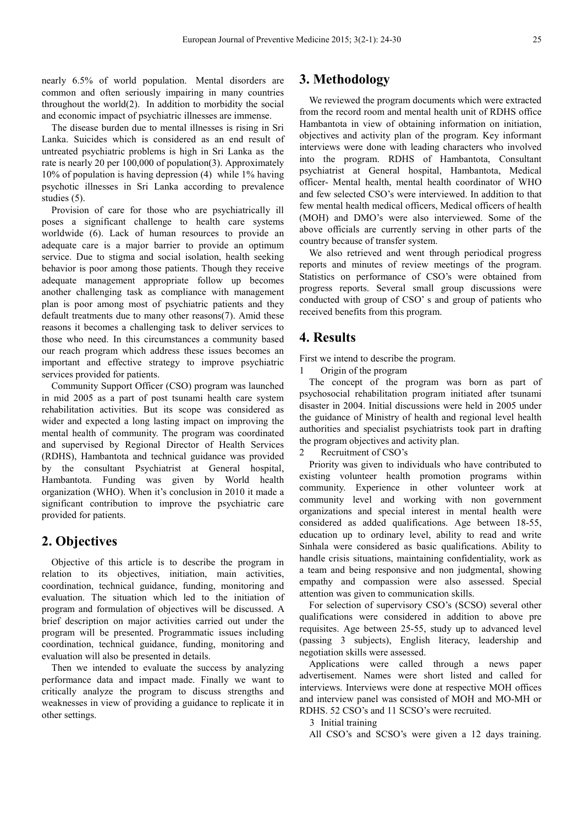nearly 6.5% of world population. Mental disorders are common and often seriously impairing in many countries throughout the world(2). In addition to morbidity the social and economic impact of psychiatric illnesses are immense.

The disease burden due to mental illnesses is rising in Sri Lanka. Suicides which is considered as an end result of untreated psychiatric problems is high in Sri Lanka as the rate is nearly 20 per 100,000 of population(3). Approximately 10% of population is having depression (4) while 1% having psychotic illnesses in Sri Lanka according to prevalence studies (5).

Provision of care for those who are psychiatrically ill poses a significant challenge to health care systems worldwide (6). Lack of human resources to provide an adequate care is a major barrier to provide an optimum service. Due to stigma and social isolation, health seeking behavior is poor among those patients. Though they receive adequate management appropriate follow up becomes another challenging task as compliance with management plan is poor among most of psychiatric patients and they default treatments due to many other reasons(7). Amid these reasons it becomes a challenging task to deliver services to those who need. In this circumstances a community based our reach program which address these issues becomes an important and effective strategy to improve psychiatric services provided for patients.

Community Support Officer (CSO) program was launched in mid 2005 as a part of post tsunami health care system rehabilitation activities. But its scope was considered as wider and expected a long lasting impact on improving the mental health of community. The program was coordinated and supervised by Regional Director of Health Services (RDHS), Hambantota and technical guidance was provided by the consultant Psychiatrist at General hospital, Hambantota. Funding was given by World health organization (WHO). When it's conclusion in 2010 it made a significant contribution to improve the psychiatric care provided for patients.

# **2. Objectives**

Objective of this article is to describe the program in relation to its objectives, initiation, main activities, coordination, technical guidance, funding, monitoring and evaluation. The situation which led to the initiation of program and formulation of objectives will be discussed. A brief description on major activities carried out under the program will be presented. Programmatic issues including coordination, technical guidance, funding, monitoring and evaluation will also be presented in details.

Then we intended to evaluate the success by analyzing performance data and impact made. Finally we want to critically analyze the program to discuss strengths and weaknesses in view of providing a guidance to replicate it in other settings.

## **3. Methodology**

We reviewed the program documents which were extracted from the record room and mental health unit of RDHS office Hambantota in view of obtaining information on initiation, objectives and activity plan of the program. Key informant interviews were done with leading characters who involved into the program. RDHS of Hambantota, Consultant psychiatrist at General hospital, Hambantota, Medical officer- Mental health, mental health coordinator of WHO and few selected CSO's were interviewed. In addition to that few mental health medical officers, Medical officers of health (MOH) and DMO's were also interviewed. Some of the above officials are currently serving in other parts of the country because of transfer system.

We also retrieved and went through periodical progress reports and minutes of review meetings of the program. Statistics on performance of CSO's were obtained from progress reports. Several small group discussions were conducted with group of CSO' s and group of patients who received benefits from this program.

# **4. Results**

First we intend to describe the program.

1 Origin of the program

The concept of the program was born as part of psychosocial rehabilitation program initiated after tsunami disaster in 2004. Initial discussions were held in 2005 under the guidance of Ministry of health and regional level health authorities and specialist psychiatrists took part in drafting the program objectives and activity plan.

2 Recruitment of CSO's

Priority was given to individuals who have contributed to existing volunteer health promotion programs within community. Experience in other volunteer work at community level and working with non government organizations and special interest in mental health were considered as added qualifications. Age between 18-55, education up to ordinary level, ability to read and write Sinhala were considered as basic qualifications. Ability to handle crisis situations, maintaining confidentiality, work as a team and being responsive and non judgmental, showing empathy and compassion were also assessed. Special attention was given to communication skills.

For selection of supervisory CSO's (SCSO) several other qualifications were considered in addition to above pre requisites. Age between 25-55, study up to advanced level (passing 3 subjects), English literacy, leadership and negotiation skills were assessed.

Applications were called through a news paper advertisement. Names were short listed and called for interviews. Interviews were done at respective MOH offices and interview panel was consisted of MOH and MO-MH or RDHS. 52 CSO's and 11 SCSO's were recruited.

3 Initial training

All CSO's and SCSO's were given a 12 days training.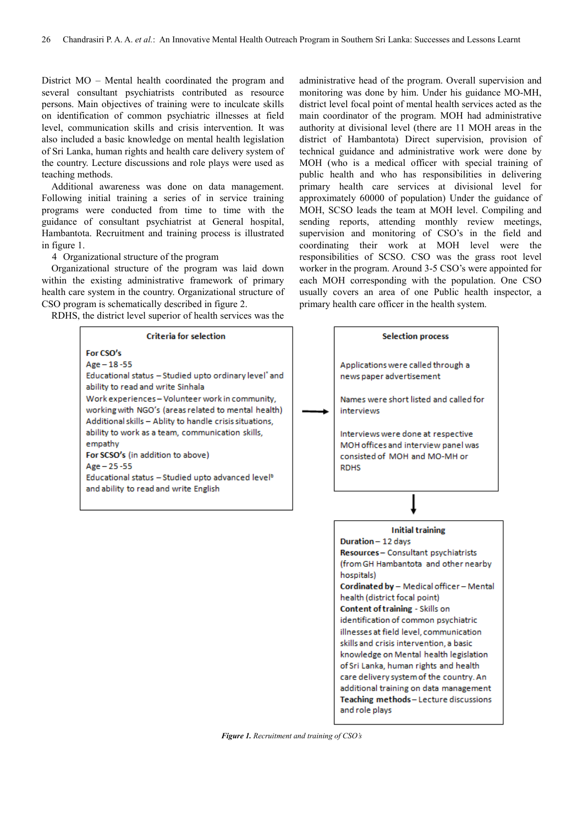District MO – Mental health coordinated the program and several consultant psychiatrists contributed as resource persons. Main objectives of training were to inculcate skills on identification of common psychiatric illnesses at field level, communication skills and crisis intervention. It was also included a basic knowledge on mental health legislation of Sri Lanka, human rights and health care delivery system of the country. Lecture discussions and role plays were used as teaching methods.

Additional awareness was done on data management. Following initial training a series of in service training programs were conducted from time to time with the guidance of consultant psychiatrist at General hospital, Hambantota. Recruitment and training process is illustrated in figure 1.

4 Organizational structure of the program

Organizational structure of the program was laid down within the existing administrative framework of primary health care system in the country. Organizational structure of CSO program is schematically described in figure 2.

RDHS, the district level superior of health services was the

**Criteria for selection** For CSO's  $Age - 18 - 55$ Educational status - Studied upto ordinary level" and ability to read and write Sinhala Work experiences-Volunteer work in community, working with NGO's (areas related to mental health) Additional skills - Ablity to handle crisis situations, ability to work as a team, communication skills, empathy For SCSO's (in addition to above)  $Age - 25 - 55$ Educational status - Studied upto advanced level<sup>b</sup> and ability to read and write English

administrative head of the program. Overall supervision and monitoring was done by him. Under his guidance MO-MH, district level focal point of mental health services acted as the main coordinator of the program. MOH had administrative authority at divisional level (there are 11 MOH areas in the district of Hambantota) Direct supervision, provision of technical guidance and administrative work were done by MOH (who is a medical officer with special training of public health and who has responsibilities in delivering primary health care services at divisional level for approximately 60000 of population) Under the guidance of MOH, SCSO leads the team at MOH level. Compiling and sending reports, attending monthly review meetings, supervision and monitoring of CSO's in the field and coordinating their work at MOH level were the responsibilities of SCSO. CSO was the grass root level worker in the program. Around 3-5 CSO's were appointed for each MOH corresponding with the population. One CSO usually covers an area of one Public health inspector, a primary health care officer in the health system.



*Figure 1. Recruitment and training of CSO's*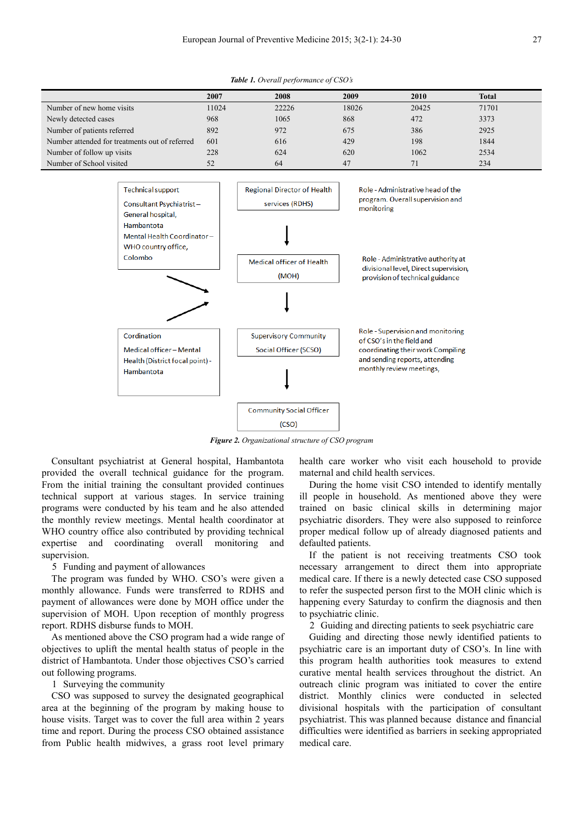*Table 1. Overall performance of CSO's* 

|                                                | 2007  | 2008  | 2009  | 2010  | <b>Total</b> |
|------------------------------------------------|-------|-------|-------|-------|--------------|
| Number of new home visits                      | 11024 | 22226 | 18026 | 20425 | 71701        |
| Newly detected cases                           | 968   | 1065  | 868   | 472   | 3373         |
| Number of patients referred                    | 892   | 972   | 675   | 386   | 2925         |
| Number attended for treatments out of referred | 601   | 616   | 429   | 198   | 1844         |
| Number of follow up visits                     | 228   | 624   | 620   | 1062  | 2534         |
| Number of School visited                       | 52    | 64    | 47    | 71    | 234          |



*Figure 2. Organizational structure of CSO program* 

Consultant psychiatrist at General hospital, Hambantota provided the overall technical guidance for the program. From the initial training the consultant provided continues technical support at various stages. In service training programs were conducted by his team and he also attended the monthly review meetings. Mental health coordinator at WHO country office also contributed by providing technical expertise and coordinating overall monitoring and supervision.

#### 5 Funding and payment of allowances

The program was funded by WHO. CSO's were given a monthly allowance. Funds were transferred to RDHS and payment of allowances were done by MOH office under the supervision of MOH. Upon reception of monthly progress report. RDHS disburse funds to MOH.

As mentioned above the CSO program had a wide range of objectives to uplift the mental health status of people in the district of Hambantota. Under those objectives CSO's carried out following programs.

#### 1 Surveying the community

CSO was supposed to survey the designated geographical area at the beginning of the program by making house to house visits. Target was to cover the full area within 2 years time and report. During the process CSO obtained assistance from Public health midwives, a grass root level primary

health care worker who visit each household to provide maternal and child health services.

During the home visit CSO intended to identify mentally ill people in household. As mentioned above they were trained on basic clinical skills in determining major psychiatric disorders. They were also supposed to reinforce proper medical follow up of already diagnosed patients and defaulted patients.

If the patient is not receiving treatments CSO took necessary arrangement to direct them into appropriate medical care. If there is a newly detected case CSO supposed to refer the suspected person first to the MOH clinic which is happening every Saturday to confirm the diagnosis and then to psychiatric clinic.

2 Guiding and directing patients to seek psychiatric care

Guiding and directing those newly identified patients to psychiatric care is an important duty of CSO's. In line with this program health authorities took measures to extend curative mental health services throughout the district. An outreach clinic program was initiated to cover the entire district. Monthly clinics were conducted in selected divisional hospitals with the participation of consultant psychiatrist. This was planned because distance and financial difficulties were identified as barriers in seeking appropriated medical care.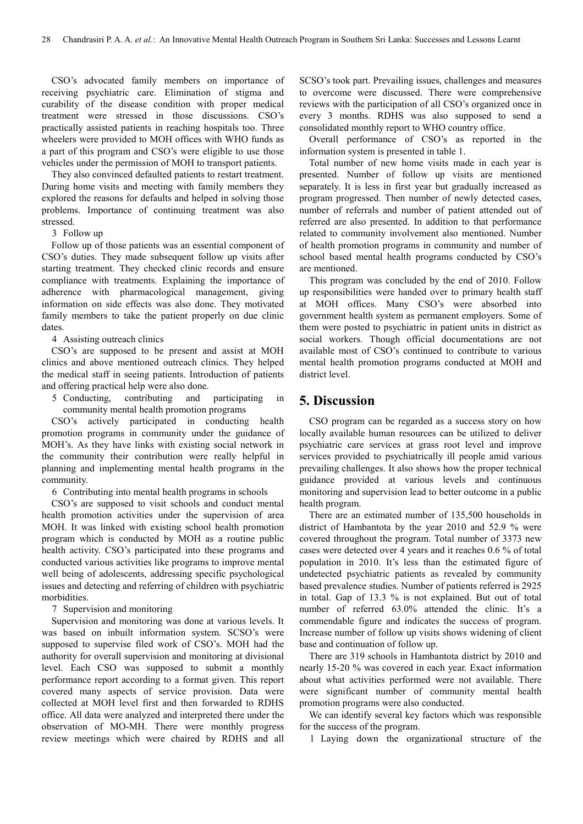CSO's advocated family members on importance of receiving psychiatric care. Elimination of stigma and curability of the disease condition with proper medical treatment were stressed in those discussions. CSO's practically assisted patients in reaching hospitals too. Three wheelers were provided to MOH offices with WHO funds as a part of this program and CSO's were eligible to use those vehicles under the permission of MOH to transport patients.

They also convinced defaulted patients to restart treatment. During home visits and meeting with family members they explored the reasons for defaults and helped in solving those problems. Importance of continuing treatment was also stressed.

3 Follow up

Follow up of those patients was an essential component of CSO's duties. They made subsequent follow up visits after starting treatment. They checked clinic records and ensure compliance with treatments. Explaining the importance of adherence with pharmacological management, giving information on side effects was also done. They motivated family members to take the patient properly on due clinic dates.

4 Assisting outreach clinics

CSO's are supposed to be present and assist at MOH clinics and above mentioned outreach clinics. They helped the medical staff in seeing patients. Introduction of patients and offering practical help were also done.

5 Conducting, contributing and participating in community mental health promotion programs

CSO's actively participated in conducting health promotion programs in community under the guidance of MOH's. As they have links with existing social network in the community their contribution were really helpful in planning and implementing mental health programs in the community.

6 Contributing into mental health programs in schools

CSO's are supposed to visit schools and conduct mental health promotion activities under the supervision of area MOH. It was linked with existing school health promotion program which is conducted by MOH as a routine public health activity. CSO's participated into these programs and conducted various activities like programs to improve mental well being of adolescents, addressing specific psychological issues and detecting and referring of children with psychiatric morbidities.

7 Supervision and monitoring

Supervision and monitoring was done at various levels. It was based on inbuilt information system. SCSO's were supposed to supervise filed work of CSO's. MOH had the authority for overall supervision and monitoring at divisional level. Each CSO was supposed to submit a monthly performance report according to a format given. This report covered many aspects of service provision. Data were collected at MOH level first and then forwarded to RDHS office. All data were analyzed and interpreted there under the observation of MO-MH. There were monthly progress review meetings which were chaired by RDHS and all SCSO's took part. Prevailing issues, challenges and measures to overcome were discussed. There were comprehensive reviews with the participation of all CSO's organized once in every 3 months. RDHS was also supposed to send a consolidated monthly report to WHO country office.

Overall performance of CSO's as reported in the information system is presented in table 1.

Total number of new home visits made in each year is presented. Number of follow up visits are mentioned separately. It is less in first year but gradually increased as program progressed. Then number of newly detected cases, number of referrals and number of patient attended out of referred are also presented. In addition to that performance related to community involvement also mentioned. Number of health promotion programs in community and number of school based mental health programs conducted by CSO's are mentioned.

This program was concluded by the end of 2010. Follow up responsibilities were handed over to primary health staff at MOH offices. Many CSO's were absorbed into government health system as permanent employers. Some of them were posted to psychiatric in patient units in district as social workers. Though official documentations are not available most of CSO's continued to contribute to various mental health promotion programs conducted at MOH and district level.

# **5. Discussion**

CSO program can be regarded as a success story on how locally available human resources can be utilized to deliver psychiatric care services at grass root level and improve services provided to psychiatrically ill people amid various prevailing challenges. It also shows how the proper technical guidance provided at various levels and continuous monitoring and supervision lead to better outcome in a public health program.

There are an estimated number of 135,500 households in district of Hambantota by the year 2010 and 52.9 % were covered throughout the program. Total number of 3373 new cases were detected over 4 years and it reaches 0.6 % of total population in 2010. It's less than the estimated figure of undetected psychiatric patients as revealed by community based prevalence studies. Number of patients referred is 2925 in total. Gap of 13.3 % is not explained. But out of total number of referred 63.0% attended the clinic. It's a commendable figure and indicates the success of program. Increase number of follow up visits shows widening of client base and continuation of follow up.

There are 319 schools in Hambantota district by 2010 and nearly 15-20 % was covered in each year. Exact information about what activities performed were not available. There were significant number of community mental health promotion programs were also conducted.

We can identify several key factors which was responsible for the success of the program.

1 Laying down the organizational structure of the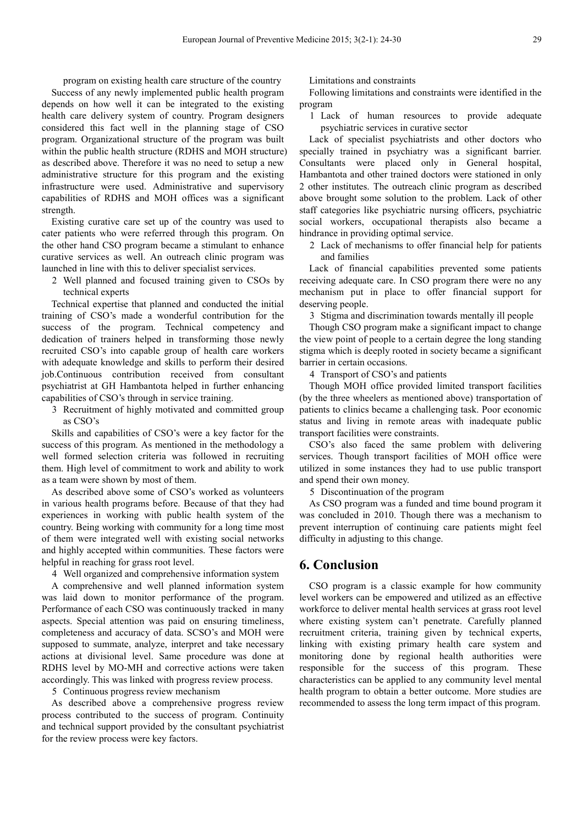program on existing health care structure of the country Success of any newly implemented public health program depends on how well it can be integrated to the existing health care delivery system of country. Program designers considered this fact well in the planning stage of CSO program. Organizational structure of the program was built within the public health structure (RDHS and MOH structure) as described above. Therefore it was no need to setup a new administrative structure for this program and the existing infrastructure were used. Administrative and supervisory capabilities of RDHS and MOH offices was a significant strength.

Existing curative care set up of the country was used to cater patients who were referred through this program. On the other hand CSO program became a stimulant to enhance curative services as well. An outreach clinic program was launched in line with this to deliver specialist services.

2 Well planned and focused training given to CSOs by technical experts

Technical expertise that planned and conducted the initial training of CSO's made a wonderful contribution for the success of the program. Technical competency and dedication of trainers helped in transforming those newly recruited CSO's into capable group of health care workers with adequate knowledge and skills to perform their desired job.Continuous contribution received from consultant psychiatrist at GH Hambantota helped in further enhancing capabilities of CSO's through in service training.

3 Recruitment of highly motivated and committed group as CSO's

Skills and capabilities of CSO's were a key factor for the success of this program. As mentioned in the methodology a well formed selection criteria was followed in recruiting them. High level of commitment to work and ability to work as a team were shown by most of them.

As described above some of CSO's worked as volunteers in various health programs before. Because of that they had experiences in working with public health system of the country. Being working with community for a long time most of them were integrated well with existing social networks and highly accepted within communities. These factors were helpful in reaching for grass root level.

4 Well organized and comprehensive information system

A comprehensive and well planned information system was laid down to monitor performance of the program. Performance of each CSO was continuously tracked in many aspects. Special attention was paid on ensuring timeliness, completeness and accuracy of data. SCSO's and MOH were supposed to summate, analyze, interpret and take necessary actions at divisional level. Same procedure was done at RDHS level by MO-MH and corrective actions were taken accordingly. This was linked with progress review process.

5 Continuous progress review mechanism

As described above a comprehensive progress review process contributed to the success of program. Continuity and technical support provided by the consultant psychiatrist for the review process were key factors.

Limitations and constraints

Following limitations and constraints were identified in the program

1 Lack of human resources to provide adequate psychiatric services in curative sector

Lack of specialist psychiatrists and other doctors who specially trained in psychiatry was a significant barrier. Consultants were placed only in General hospital, Hambantota and other trained doctors were stationed in only 2 other institutes. The outreach clinic program as described above brought some solution to the problem. Lack of other staff categories like psychiatric nursing officers, psychiatric social workers, occupational therapists also became a hindrance in providing optimal service.

2 Lack of mechanisms to offer financial help for patients and families

Lack of financial capabilities prevented some patients receiving adequate care. In CSO program there were no any mechanism put in place to offer financial support for deserving people.

3 Stigma and discrimination towards mentally ill people

Though CSO program make a significant impact to change the view point of people to a certain degree the long standing stigma which is deeply rooted in society became a significant barrier in certain occasions.

4 Transport of CSO's and patients

Though MOH office provided limited transport facilities (by the three wheelers as mentioned above) transportation of patients to clinics became a challenging task. Poor economic status and living in remote areas with inadequate public transport facilities were constraints.

CSO's also faced the same problem with delivering services. Though transport facilities of MOH office were utilized in some instances they had to use public transport and spend their own money.

5 Discontinuation of the program

As CSO program was a funded and time bound program it was concluded in 2010. Though there was a mechanism to prevent interruption of continuing care patients might feel difficulty in adjusting to this change.

### **6. Conclusion**

CSO program is a classic example for how community level workers can be empowered and utilized as an effective workforce to deliver mental health services at grass root level where existing system can't penetrate. Carefully planned recruitment criteria, training given by technical experts, linking with existing primary health care system and monitoring done by regional health authorities were responsible for the success of this program. These characteristics can be applied to any community level mental health program to obtain a better outcome. More studies are recommended to assess the long term impact of this program.